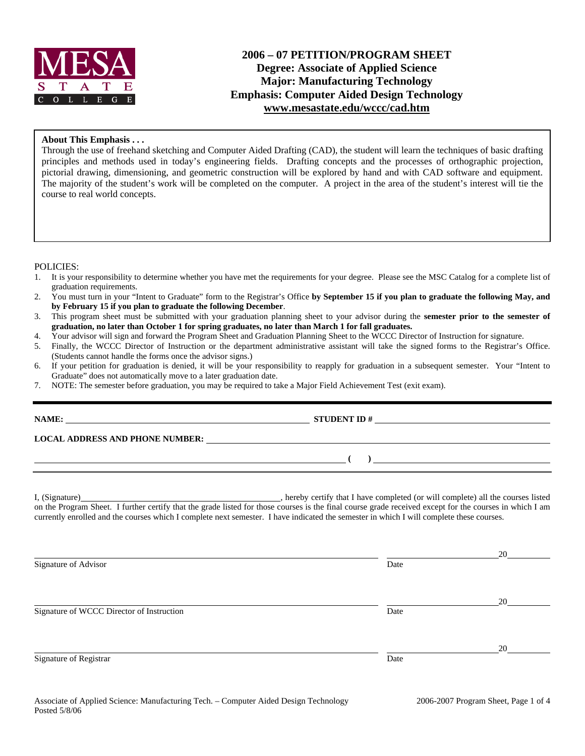

# **2006 – 07 PETITION/PROGRAM SHEET Degree: Associate of Applied Science Major: Manufacturing Technology Emphasis: Computer Aided Design Technology www.mesastate.edu/wccc/cad.htm**

### **About This Emphasis . . .**

Through the use of freehand sketching and Computer Aided Drafting (CAD), the student will learn the techniques of basic drafting principles and methods used in today's engineering fields. Drafting concepts and the processes of orthographic projection, pictorial drawing, dimensioning, and geometric construction will be explored by hand and with CAD software and equipment. The majority of the student's work will be completed on the computer. A project in the area of the student's interest will tie the course to real world concepts.

#### POLICIES:

- 1. It is your responsibility to determine whether you have met the requirements for your degree. Please see the MSC Catalog for a complete list of graduation requirements.
- 2. You must turn in your "Intent to Graduate" form to the Registrar's Office **by September 15 if you plan to graduate the following May, and by February 15 if you plan to graduate the following December**.
- 3. This program sheet must be submitted with your graduation planning sheet to your advisor during the **semester prior to the semester of graduation, no later than October 1 for spring graduates, no later than March 1 for fall graduates.**
- 4. Your advisor will sign and forward the Program Sheet and Graduation Planning Sheet to the WCCC Director of Instruction for signature.
- 5. Finally, the WCCC Director of Instruction or the department administrative assistant will take the signed forms to the Registrar's Office. (Students cannot handle the forms once the advisor signs.)
- 6. If your petition for graduation is denied, it will be your responsibility to reapply for graduation in a subsequent semester. Your "Intent to Graduate" does not automatically move to a later graduation date.
- 7. NOTE: The semester before graduation, you may be required to take a Major Field Achievement Test (exit exam).

| LOCAL ADDRESS AND PHONE NUMBER: Under Allen and Allen and Allen and Allen and Allen and Allen and Allen and A                                                                                                                                                                                       |      |    |
|-----------------------------------------------------------------------------------------------------------------------------------------------------------------------------------------------------------------------------------------------------------------------------------------------------|------|----|
| $\overline{a}$ (b) and the contract of $\overline{a}$ (b) and the contract of $\overline{a}$ (b) and the contract of $\overline{a}$                                                                                                                                                                 |      |    |
| on the Program Sheet. I further certify that the grade listed for those courses is the final course grade received except for the courses in which I am<br>currently enrolled and the courses which I complete next semester. I have indicated the semester in which I will complete these courses. |      |    |
| Signature of Advisor                                                                                                                                                                                                                                                                                | Date | 20 |
| Signature of WCCC Director of Instruction                                                                                                                                                                                                                                                           | Date | 20 |
| Signature of Registrar                                                                                                                                                                                                                                                                              | Date | 20 |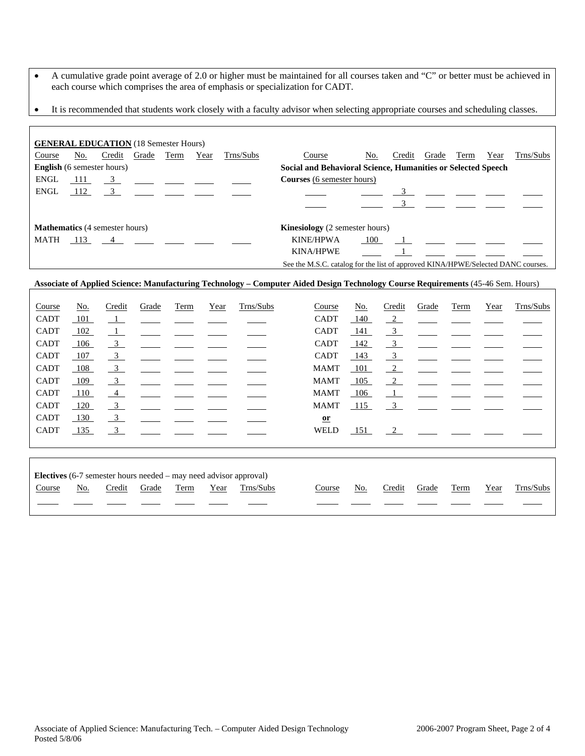- A cumulative grade point average of 2.0 or higher must be maintained for all courses taken and "C" or better must be achieved in each course which comprises the area of emphasis or specialization for CADT.
- It is recommended that students work closely with a faculty advisor when selecting appropriate courses and scheduling classes.

| <b>GENERAL EDUCATION</b> (18 Semester Hours) |     |                                                                                                                                                                                                                                                                                                                     |       |      |      |           |                                                                                  |     |        |       |      |      |           |  |
|----------------------------------------------|-----|---------------------------------------------------------------------------------------------------------------------------------------------------------------------------------------------------------------------------------------------------------------------------------------------------------------------|-------|------|------|-----------|----------------------------------------------------------------------------------|-----|--------|-------|------|------|-----------|--|
| Course                                       | No. | Credit                                                                                                                                                                                                                                                                                                              | Grade | Term | Year | Trns/Subs | Course                                                                           | No. | Credit | Grade | Term | Year | Trns/Subs |  |
| <b>English</b> (6 semester hours)            |     |                                                                                                                                                                                                                                                                                                                     |       |      |      |           | Social and Behavioral Science, Humanities or Selected Speech                     |     |        |       |      |      |           |  |
| ENGL                                         | 111 | $\frac{3}{2}$ $\frac{3}{2}$ $\frac{3}{2}$ $\frac{3}{2}$ $\frac{3}{2}$ $\frac{3}{2}$ $\frac{3}{2}$ $\frac{3}{2}$ $\frac{3}{2}$ $\frac{3}{2}$ $\frac{3}{2}$ $\frac{3}{2}$ $\frac{3}{2}$ $\frac{3}{2}$ $\frac{3}{2}$ $\frac{3}{2}$ $\frac{3}{2}$ $\frac{3}{2}$ $\frac{3}{2}$ $\frac{3}{2}$ $\frac{3}{2}$ $\frac{3}{2}$ |       |      |      |           | <b>Courses</b> (6 semester hours)                                                |     |        |       |      |      |           |  |
| <b>ENGL</b>                                  | 112 | $\overline{3}$                                                                                                                                                                                                                                                                                                      |       |      |      |           |                                                                                  |     |        |       |      |      |           |  |
|                                              |     |                                                                                                                                                                                                                                                                                                                     |       |      |      |           |                                                                                  |     |        |       |      |      |           |  |
| <b>Mathematics</b> (4 semester hours)        |     |                                                                                                                                                                                                                                                                                                                     |       |      |      |           | <b>Kinesiology</b> (2 semester hours)                                            |     |        |       |      |      |           |  |
| MATH                                         |     | 113 4                                                                                                                                                                                                                                                                                                               |       |      |      |           | KINE/HPWA                                                                        | 100 |        |       |      |      |           |  |
|                                              |     |                                                                                                                                                                                                                                                                                                                     |       |      |      |           | <b>KINA/HPWE</b>                                                                 |     |        |       |      |      |           |  |
|                                              |     |                                                                                                                                                                                                                                                                                                                     |       |      |      |           | See the M.S.C. catalog for the list of approved KINA/HPWE/Selected DANC courses. |     |        |       |      |      |           |  |

### **Associate of Applied Science: Manufacturing Technology – Computer Aided Design Technology Course Requirements** (45-46 Sem. Hours)

| Course      | $\underline{\mathrm{No}}$ . | Credit                    | Grade | <b>Term</b> | Year | Trns/Subs                                  | Course       | <u>No.</u> | Credit                  | Grade | <b>Term</b> | Year | Trns/Subs |
|-------------|-----------------------------|---------------------------|-------|-------------|------|--------------------------------------------|--------------|------------|-------------------------|-------|-------------|------|-----------|
| <b>CADT</b> | 101                         | $\perp$                   |       |             |      |                                            | <b>CADT</b>  | 140        | $\frac{2}{2}$           |       |             |      |           |
| <b>CADT</b> | 102                         | $\perp$                   |       |             |      |                                            | <b>CADT</b>  | 141        | $\overline{3}$          |       |             |      |           |
| <b>CADT</b> | 106                         | $\frac{3}{2}$             |       |             |      |                                            | <b>CADT</b>  | 142        | $\overline{\mathbf{3}}$ |       |             |      |           |
| <b>CADT</b> | 107                         | $\frac{3}{2}$             |       |             |      |                                            | <b>CADT</b>  | 143        | $\frac{3}{2}$           |       |             |      |           |
| <b>CADT</b> | 108                         | $\overline{\phantom{0}3}$ |       |             |      |                                            | <b>MAMT</b>  | 101        | $\sqrt{2}$              |       |             |      |           |
| <b>CADT</b> | 109                         | $\overline{\phantom{0}3}$ |       |             |      |                                            | <b>MAMT</b>  | 105        | $\frac{2}{2}$           |       |             |      |           |
| <b>CADT</b> | 110                         | $\overline{4}$            |       |             |      |                                            | <b>MAMT</b>  | 106        | $\perp$                 |       |             |      |           |
| <b>CADT</b> | 120                         | $\frac{3}{2}$             |       |             |      |                                            | <b>MAMT</b>  | 115        | $\overline{3}$          |       |             |      |           |
| <b>CADT</b> | 130                         | $\overline{\phantom{0}3}$ |       |             |      |                                            | $\mathbf{a}$ |            |                         |       |             |      |           |
| <b>CADT</b> | 135                         | $\overline{\mathbf{3}}$   |       |             |      |                                            | <b>WELD</b>  | 151        | $\frac{2}{2}$           |       |             |      |           |
|             |                             |                           |       |             |      |                                            |              |            |                         |       |             |      |           |
|             |                             |                           |       |             |      |                                            |              |            |                         |       |             |      |           |
| ____        |                             |                           |       |             |      | <b>Contract Contract Contract Contract</b> |              |            |                         |       |             |      |           |

|        | <b>Electives</b> $(6-7)$ semester hours needed – may need advisor approval) |        |       |      |      |           |  |        |     |        |       |      |      |           |
|--------|-----------------------------------------------------------------------------|--------|-------|------|------|-----------|--|--------|-----|--------|-------|------|------|-----------|
| Course | No.                                                                         | Credit | Grade | Term | Year | Trns/Subs |  | Course | No. | Credit | Grade | Term | Year | Trns/Subs |
|        |                                                                             |        |       |      |      |           |  |        |     |        |       |      |      |           |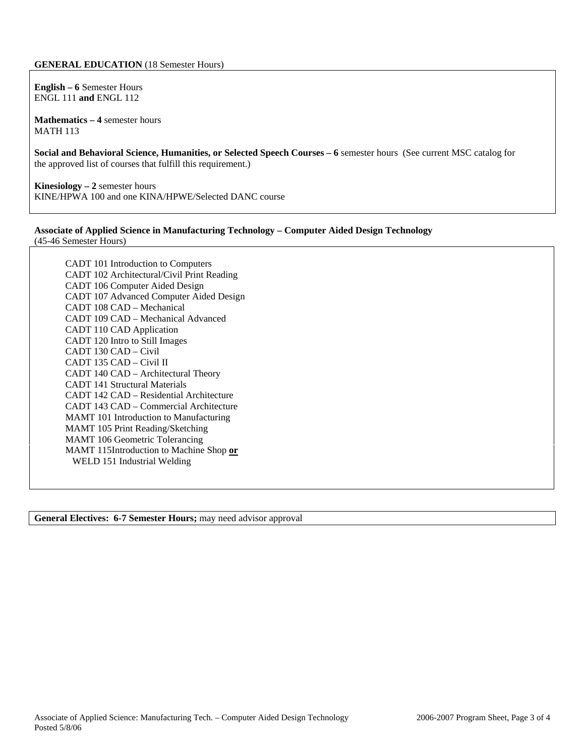#### **GENERAL EDUCATION** (18 Semester Hours)

**English – 6** Semester Hours ENGL 111 **and** ENGL 112

**Mathematics – 4** semester hours MATH 113

**Social and Behavioral Science, Humanities, or Selected Speech Courses – 6** semester hours (See current MSC catalog for the approved list of courses that fulfill this requirement.)

**Kinesiology – 2** semester hours KINE/HPWA 100 and one KINA/HPWE/Selected DANC course

#### **Associate of Applied Science in Manufacturing Technology – Computer Aided Design Technology**  (45-46 Semester Hours)

CADT 101 Introduction to Computers CADT 102 Architectural/Civil Print Reading CADT 106 Computer Aided Design CADT 107 Advanced Computer Aided Design CADT 108 CAD – Mechanical CADT 109 CAD – Mechanical Advanced CADT 110 CAD Application CADT 120 Intro to Still Images CADT 130 CAD – Civil CADT 135 CAD – Civil II CADT 140 CAD – Architectural Theory CADT 141 Structural Materials CADT 142 CAD – Residential Architecture CADT 143 CAD – Commercial Architecture MAMT 101 Introduction to Manufacturing MAMT 105 Print Reading/Sketching MAMT 106 Geometric Tolerancing MAMT 115Introduction to Machine Shop **or** WELD 151 Industrial Welding

**General Electives: 6-7 Semester Hours;** may need advisor approval